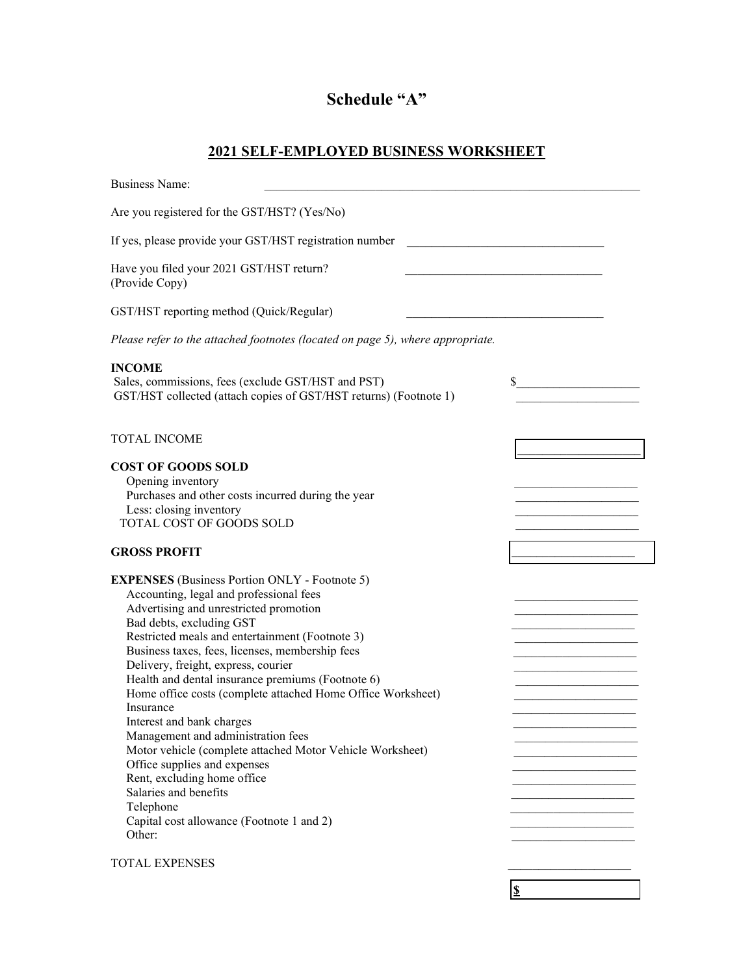## **Schedule "A"**

## **2021 SELF-EMPLOYED BUSINESS WORKSHEET**

| <b>Business Name:</b>                                                                                                                                                                                                                                                                                                                                                                                                                                                                                                                                                                                                                                                                                                                           |    |
|-------------------------------------------------------------------------------------------------------------------------------------------------------------------------------------------------------------------------------------------------------------------------------------------------------------------------------------------------------------------------------------------------------------------------------------------------------------------------------------------------------------------------------------------------------------------------------------------------------------------------------------------------------------------------------------------------------------------------------------------------|----|
| Are you registered for the GST/HST? (Yes/No)                                                                                                                                                                                                                                                                                                                                                                                                                                                                                                                                                                                                                                                                                                    |    |
| If yes, please provide your GST/HST registration number                                                                                                                                                                                                                                                                                                                                                                                                                                                                                                                                                                                                                                                                                         |    |
| Have you filed your 2021 GST/HST return?<br>(Provide Copy)                                                                                                                                                                                                                                                                                                                                                                                                                                                                                                                                                                                                                                                                                      |    |
| GST/HST reporting method (Quick/Regular)                                                                                                                                                                                                                                                                                                                                                                                                                                                                                                                                                                                                                                                                                                        |    |
| Please refer to the attached footnotes (located on page 5), where appropriate.                                                                                                                                                                                                                                                                                                                                                                                                                                                                                                                                                                                                                                                                  |    |
| <b>INCOME</b><br>Sales, commissions, fees (exclude GST/HST and PST)<br>GST/HST collected (attach copies of GST/HST returns) (Footnote 1)                                                                                                                                                                                                                                                                                                                                                                                                                                                                                                                                                                                                        | \$ |
| <b>TOTAL INCOME</b>                                                                                                                                                                                                                                                                                                                                                                                                                                                                                                                                                                                                                                                                                                                             |    |
| <b>COST OF GOODS SOLD</b><br>Opening inventory<br>Purchases and other costs incurred during the year<br>Less: closing inventory<br>TOTAL COST OF GOODS SOLD                                                                                                                                                                                                                                                                                                                                                                                                                                                                                                                                                                                     |    |
| <b>GROSS PROFIT</b>                                                                                                                                                                                                                                                                                                                                                                                                                                                                                                                                                                                                                                                                                                                             |    |
| <b>EXPENSES</b> (Business Portion ONLY - Footnote 5)<br>Accounting, legal and professional fees<br>Advertising and unrestricted promotion<br>Bad debts, excluding GST<br>Restricted meals and entertainment (Footnote 3)<br>Business taxes, fees, licenses, membership fees<br>Delivery, freight, express, courier<br>Health and dental insurance premiums (Footnote 6)<br>Home office costs (complete attached Home Office Worksheet)<br>Insurance<br>Interest and bank charges<br>Management and administration fees<br>Motor vehicle (complete attached Motor Vehicle Worksheet)<br>Office supplies and expenses<br>Rent, excluding home office<br>Salaries and benefits<br>Telephone<br>Capital cost allowance (Footnote 1 and 2)<br>Other: |    |
| TOTAL EXPENSES                                                                                                                                                                                                                                                                                                                                                                                                                                                                                                                                                                                                                                                                                                                                  |    |

**\$**